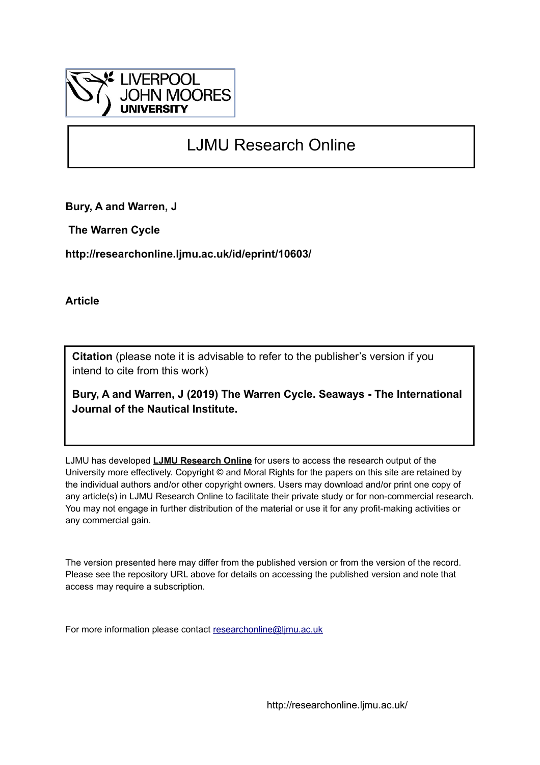

# LJMU Research Online

**Bury, A and Warren, J**

 **The Warren Cycle**

**http://researchonline.ljmu.ac.uk/id/eprint/10603/**

**Article**

**Citation** (please note it is advisable to refer to the publisher's version if you intend to cite from this work)

**Bury, A and Warren, J (2019) The Warren Cycle. Seaways - The International Journal of the Nautical Institute.** 

LJMU has developed **[LJMU Research Online](http://researchonline.ljmu.ac.uk/)** for users to access the research output of the University more effectively. Copyright © and Moral Rights for the papers on this site are retained by the individual authors and/or other copyright owners. Users may download and/or print one copy of any article(s) in LJMU Research Online to facilitate their private study or for non-commercial research. You may not engage in further distribution of the material or use it for any profit-making activities or any commercial gain.

The version presented here may differ from the published version or from the version of the record. Please see the repository URL above for details on accessing the published version and note that access may require a subscription.

For more information please contact [researchonline@ljmu.ac.uk](mailto:researchonline@ljmu.ac.uk)

http://researchonline.ljmu.ac.uk/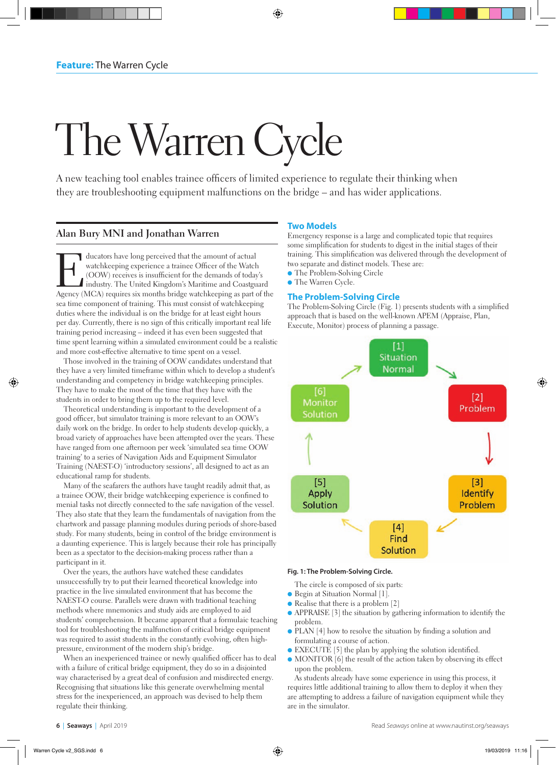# The Warren Cycle

A new teaching tool enables trainee officers of limited experience to regulate their thinking when they are troubleshooting equipment malfunctions on the bridge – and has wider applications.

# **Alan Bury MNI and Jonathan Warren**

I ducators have long perceived that the amount of actual watchkeeping experience a trainee Officer of the Watch (OOW) receives is insufficient for the demands of today industry. The United Kingdom's Maritime and Coastgu<br>Ag watchkeeping experience a trainee Officer of the Watch (OOW) receives is insufficient for the demands of today's industry. The United Kingdom's Maritime and Coastguard Agency (MCA) requires six months bridge watchkeeping as part of the sea time component of training. This must consist of watchkeeping duties where the individual is on the bridge for at least eight hours per day. Currently, there is no sign of this critically important real life training period increasing – indeed it has even been suggested that time spent learning within a simulated environment could be a realistic and more cost-effective alternative to time spent on a vessel.

Those involved in the training of OOW candidates understand that they have a very limited timeframe within which to develop a student's understanding and competency in bridge watchkeeping principles. They have to make the most of the time that they have with the students in order to bring them up to the required level.

Theoretical understanding is important to the development of a good officer, but simulator training is more relevant to an OOW's daily work on the bridge. In order to help students develop quickly, a broad variety of approaches have been attempted over the years. These have ranged from one afternoon per week 'simulated sea time OOW training' to a series of Navigation Aids and Equipment Simulator Training (NAEST-O) 'introductory sessions', all designed to act as an educational ramp for students.

Many of the seafarers the authors have taught readily admit that, as a trainee OOW, their bridge watchkeeping experience is confined to menial tasks not directly connected to the safe navigation of the vessel. They also state that they learn the fundamentals of navigation from the chartwork and passage planning modules during periods of shore-based study. For many students, being in control of the bridge environment is a daunting experience. This is largely because their role has principally been as a spectator to the decision-making process rather than a participant in it.

Over the years, the authors have watched these candidates unsuccessfully try to put their learned theoretical knowledge into practice in the live simulated environment that has become the NAEST-O course. Parallels were drawn with traditional teaching methods where mnemonics and study aids are employed to aid students' comprehension. It became apparent that a formulaic teaching tool for troubleshooting the malfunction of critical bridge equipment was required to assist students in the constantly evolving, often highpressure, environment of the modern ship's bridge.

When an inexperienced trainee or newly qualified officer has to deal with a failure of critical bridge equipment, they do so in a disjointed way characterised by a great deal of confusion and misdirected energy. Recognising that situations like this generate overwhelming mental stress for the inexperienced, an approach was devised to help them regulate their thinking.

## **Two Models**

Emergency response is a large and complicated topic that requires some simplification for students to digest in the initial stages of their training. This simplification was delivered through the development of two separate and distinct models. These are:

- **The Problem-Solving Circle**
- **The Warren Cycle.**

#### **The Problem-Solving Circle**

The Problem-Solving Circle (Fig. 1) presents students with a simplified approach that is based on the well-known APEM (Appraise, Plan, Execute, Monitor) process of planning a passage.



#### **Fig. 1: The Problem-Solving Circle.**

The circle is composed of six parts:

- Begin at Situation Normal [1].
- $\bullet$  Realise that there is a problem [2]
- $\bullet$  APPRAISE [3] the situation by gathering information to identify the problem.
- $\bullet$  PLAN [4] how to resolve the situation by finding a solution and formulating a course of action.
- **EXECUTE** [5] the plan by applying the solution identified.
- $\bullet$  MONITOR [6] the result of the action taken by observing its effect upon the problem.

As students already have some experience in using this process, it requires little additional training to allow them to deploy it when they are attempting to address a failure of navigation equipment while they are in the simulator.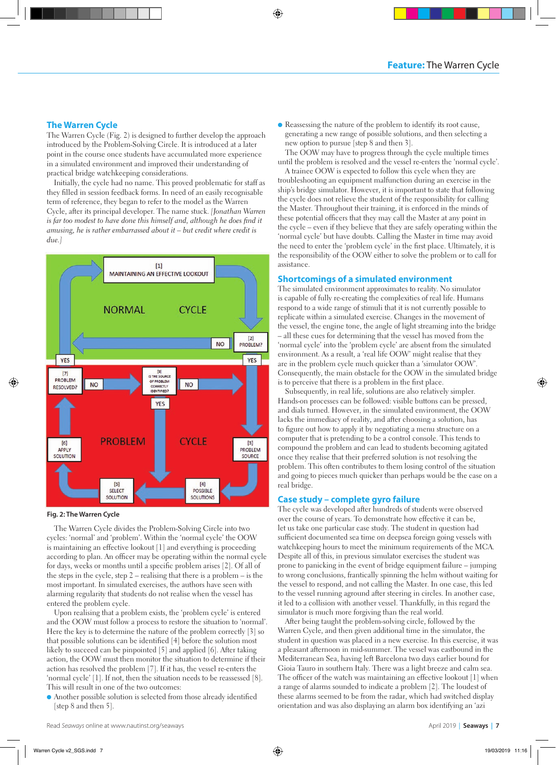### **The Warren Cycle**

The Warren Cycle (Fig. 2) is designed to further develop the approach introduced by the Problem-Solving Circle. It is introduced at a later point in the course once students have accumulated more experience in a simulated environment and improved their understanding of practical bridge watchkeeping considerations.

Initially, the cycle had no name. This proved problematic for staff as they filled in session feedback forms. In need of an easily recognisable term of reference, they began to refer to the model as the Warren Cycle, after its principal developer. The name stuck. *[Jonathan Warren*  is far too modest to have done this himself and, although he does find it *amusing, he is rather embarrassed about it – but credit where credit is due.]*



#### **Fig. 2: The Warren Cycle**

The Warren Cycle divides the Problem-Solving Circle into two cycles: 'normal' and 'problem'. Within the 'normal cycle' the OOW is maintaining an effective lookout [1] and everything is proceeding according to plan. An officer may be operating within the normal cycle for days, weeks or months until a specific problem arises [2]. Of all of the steps in the cycle, step 2 – realising that there is a problem – is the most important. In simulated exercises, the authors have seen with alarming regularity that students do not realise when the vessel has entered the problem cycle.

Upon realising that a problem exists, the 'problem cycle' is entered and the OOW must follow a process to restore the situation to 'normal'. Here the key is to determine the nature of the problem correctly [3] so that possible solutions can be identified [4] before the solution most likely to succeed can be pinpointed [5] and applied [6]. After taking action, the OOW must then monitor the situation to determine if their action has resolved the problem [7]. If it has, the vessel re-enters the 'normal cycle' [1]. If not, then the situation needs to be reassessed [8]. This will result in one of the two outcomes:

l Another possible solution is selected from those already identified [step 8 and then 5].

l Reassessing the nature of the problem to identify its root cause, generating a new range of possible solutions, and then selecting a new option to pursue [step 8 and then 3].

The OOW may have to progress through the cycle multiple times until the problem is resolved and the vessel re-enters the 'normal cycle'.

A trainee OOW is expected to follow this cycle when they are troubleshooting an equipment malfunction during an exercise in the ship's bridge simulator. However, it is important to state that following the cycle does not relieve the student of the responsibility for calling the Master. Throughout their training, it is enforced in the minds of these potential officers that they may call the Master at any point in the cycle – even if they believe that they are safely operating within the 'normal cycle' but have doubts. Calling the Master in time may avoid the need to enter the 'problem cycle' in the first place. Ultimately, it is the responsibility of the OOW either to solve the problem or to call for assistance.

#### **Shortcomings of a simulated environment**

The simulated environment approximates to reality. No simulator is capable of fully re-creating the complexities of real life. Humans respond to a wide range of stimuli that it is not currently possible to replicate within a simulated exercise. Changes in the movement of the vessel, the engine tone, the angle of light streaming into the bridge – all these cues for determining that the vessel has moved from the 'normal cycle' into the 'problem cycle' are absent from the simulated environment. As a result, a 'real life OOW' might realise that they are in the problem cycle much quicker than a 'simulator OOW'. Consequently, the main obstacle for the OOW in the simulated bridge is to perceive that there is a problem in the first place.

Subsequently, in real life, solutions are also relatively simpler. Hands-on processes can be followed: visible buttons can be pressed, and dials turned. However, in the simulated environment, the OOW lacks the immediacy of reality, and after choosing a solution, has to figure out how to apply it by negotiating a menu structure on a computer that is pretending to be a control console. This tends to compound the problem and can lead to students becoming agitated once they realise that their preferred solution is not resolving the problem. This often contributes to them losing control of the situation and going to pieces much quicker than perhaps would be the case on a real bridge.

#### **Case study – complete gyro failure**

The cycle was developed after hundreds of students were observed over the course of years. To demonstrate how effective it can be, let us take one particular case study. The student in question had sufficient documented sea time on deepsea foreign going vessels with watchkeeping hours to meet the minimum requirements of the MCA. Despite all of this, in previous simulator exercises the student was prone to panicking in the event of bridge equipment failure – jumping to wrong conclusions, frantically spinning the helm without waiting for the vessel to respond, and not calling the Master. In one case, this led to the vessel running aground after steering in circles. In another case, it led to a collision with another vessel. Thankfully, in this regard the simulator is much more forgiving than the real world.

After being taught the problem-solving circle, followed by the Warren Cycle, and then given additional time in the simulator, the student in question was placed in a new exercise. In this exercise, it was a pleasant afternoon in mid-summer. The vessel was eastbound in the Mediterranean Sea, having left Barcelona two days earlier bound for Gioia Tauro in southern Italy. There was a light breeze and calm sea. The officer of the watch was maintaining an effective lookout [1] when a range of alarms sounded to indicate a problem [2]. The loudest of these alarms seemed to be from the radar, which had switched display orientation and was also displaying an alarm box identifying an 'azi